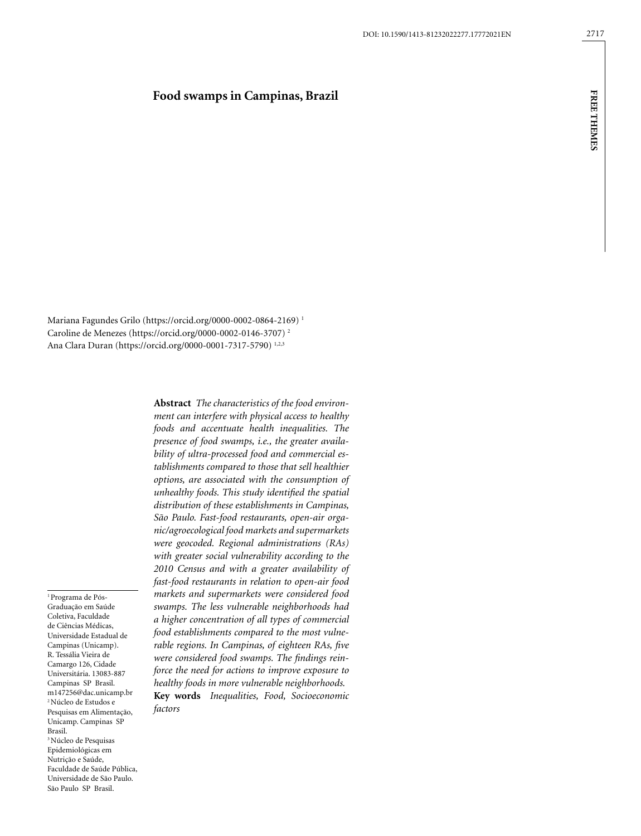### **Food swamps in Campinas, Brazil**

Mariana Fagundes Grilo (https://orcid.org/0000-0002-0864-2169) 1 Caroline de Menezes (https://orcid.org/0000-0002-0146-3707) 2 Ana Clara Duran (https://orcid.org/0000-0001-7317-5790) 1,2,3

> **Abstract** *The characteristics of the food environment can interfere with physical access to healthy foods and accentuate health inequalities. The presence of food swamps, i.e., the greater availability of ultra-processed food and commercial establishments compared to those that sell healthier options, are associated with the consumption of unhealthy foods. This study identified the spatial distribution of these establishments in Campinas, São Paulo. Fast-food restaurants, open-air organic/agroecological food markets and supermarkets were geocoded. Regional administrations (RAs) with greater social vulnerability according to the 2010 Census and with a greater availability of fast-food restaurants in relation to open-air food markets and supermarkets were considered food swamps. The less vulnerable neighborhoods had a higher concentration of all types of commercial food establishments compared to the most vulnerable regions. In Campinas, of eighteen RAs, five were considered food swamps. The findings reinforce the need for actions to improve exposure to healthy foods in more vulnerable neighborhoods.* **Key words** *Inequalities, Food, Socioeconomic*

Universidade Estadual de Campinas (Unicamp). R. Tessália Vieira de Camargo 126, Cidade Universitária. 13083-887 Campinas SP Brasil. m147256@dac.unicamp.br 2 Núcleo de Estudos e Pesquisas em Alimentação, Unicamp. Campinas SP Brasil. <sup>3</sup> Núcleo de Pesquisas Epidemiológicas em Nutrição e Saúde, Faculdade de Saúde Pública, Universidade de São Paulo. São Paulo SP Brasil.

1 Programa de Pós-Graduação em Saúde Coletiva, Faculdade de Ciências Médicas,

*factors*

**free themes**

**FREE THEMES**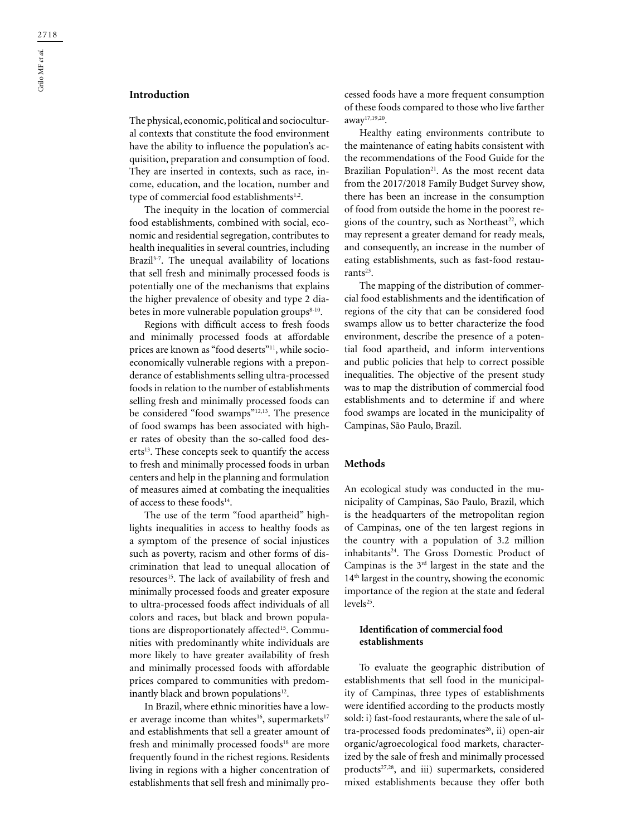# **Introduction**

The physical, economic, political and sociocultural contexts that constitute the food environment have the ability to influence the population's acquisition, preparation and consumption of food. They are inserted in contexts, such as race, income, education, and the location, number and type of commercial food establishments<sup>1,2</sup>.

The inequity in the location of commercial food establishments, combined with social, economic and residential segregation, contributes to health inequalities in several countries, including Brazil<sup>3-7</sup>. The unequal availability of locations that sell fresh and minimally processed foods is potentially one of the mechanisms that explains the higher prevalence of obesity and type 2 diabetes in more vulnerable population groups $8-10$ .

Regions with difficult access to fresh foods and minimally processed foods at affordable prices are known as "food deserts"<sup>11</sup>, while socioeconomically vulnerable regions with a preponderance of establishments selling ultra-processed foods in relation to the number of establishments selling fresh and minimally processed foods can be considered "food swamps"12,13. The presence of food swamps has been associated with higher rates of obesity than the so-called food deserts<sup>13</sup>. These concepts seek to quantify the access to fresh and minimally processed foods in urban centers and help in the planning and formulation of measures aimed at combating the inequalities of access to these foods<sup>14</sup>.

The use of the term "food apartheid" highlights inequalities in access to healthy foods as a symptom of the presence of social injustices such as poverty, racism and other forms of discrimination that lead to unequal allocation of resources<sup>15</sup>. The lack of availability of fresh and minimally processed foods and greater exposure to ultra-processed foods affect individuals of all colors and races, but black and brown populations are disproportionately affected<sup>15</sup>. Communities with predominantly white individuals are more likely to have greater availability of fresh and minimally processed foods with affordable prices compared to communities with predominantly black and brown populations<sup>12</sup>.

In Brazil, where ethnic minorities have a lower average income than whites<sup>16</sup>, supermarkets<sup>17</sup> and establishments that sell a greater amount of fresh and minimally processed foods<sup>18</sup> are more frequently found in the richest regions. Residents living in regions with a higher concentration of establishments that sell fresh and minimally processed foods have a more frequent consumption of these foods compared to those who live farther away17,19,20.

Healthy eating environments contribute to the maintenance of eating habits consistent with the recommendations of the Food Guide for the Brazilian Population<sup>21</sup>. As the most recent data from the 2017/2018 Family Budget Survey show, there has been an increase in the consumption of food from outside the home in the poorest regions of the country, such as Northeast<sup>22</sup>, which may represent a greater demand for ready meals, and consequently, an increase in the number of eating establishments, such as fast-food restaurants $23$ .

The mapping of the distribution of commercial food establishments and the identification of regions of the city that can be considered food swamps allow us to better characterize the food environment, describe the presence of a potential food apartheid, and inform interventions and public policies that help to correct possible inequalities. The objective of the present study was to map the distribution of commercial food establishments and to determine if and where food swamps are located in the municipality of Campinas, São Paulo, Brazil.

### **Methods**

An ecological study was conducted in the municipality of Campinas, São Paulo, Brazil, which is the headquarters of the metropolitan region of Campinas, one of the ten largest regions in the country with a population of 3.2 million inhabitants<sup>24</sup>. The Gross Domestic Product of Campinas is the 3rd largest in the state and the 14th largest in the country, showing the economic importance of the region at the state and federal  $levels^{25}$ .

### **Identification of commercial food establishments**

To evaluate the geographic distribution of establishments that sell food in the municipality of Campinas, three types of establishments were identified according to the products mostly sold: i) fast-food restaurants, where the sale of ultra-processed foods predominates<sup>26</sup>, ii) open-air organic/agroecological food markets, characterized by the sale of fresh and minimally processed products<sup>27,28</sup>, and iii) supermarkets, considered mixed establishments because they offer both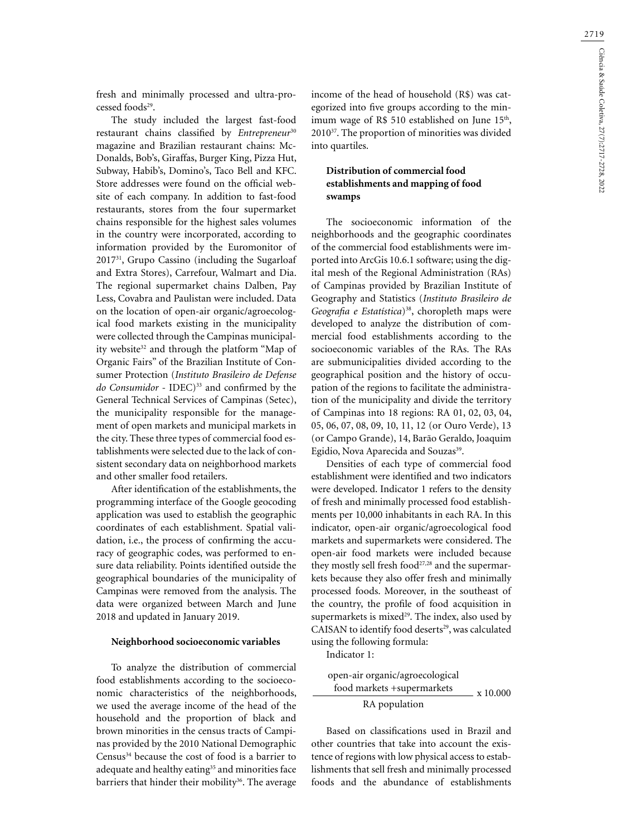fresh and minimally processed and ultra-processed foods<sup>29</sup>.

The study included the largest fast-food restaurant chains classified by *Entrepreneur*<sup>30</sup> magazine and Brazilian restaurant chains: Mc-Donalds, Bob's, Giraffas, Burger King, Pizza Hut, Subway, Habib's, Domino's, Taco Bell and KFC. Store addresses were found on the official website of each company. In addition to fast-food restaurants, stores from the four supermarket chains responsible for the highest sales volumes in the country were incorporated, according to information provided by the Euromonitor of 201731, Grupo Cassino (including the Sugarloaf and Extra Stores), Carrefour, Walmart and Dia. The regional supermarket chains Dalben, Pay Less, Covabra and Paulistan were included. Data on the location of open-air organic/agroecological food markets existing in the municipality were collected through the Campinas municipality website<sup>32</sup> and through the platform "Map of Organic Fairs" of the Brazilian Institute of Consumer Protection (*Instituto Brasileiro de Defense*  do Consumidor - IDEC)<sup>33</sup> and confirmed by the General Technical Services of Campinas (Setec), the municipality responsible for the management of open markets and municipal markets in the city. These three types of commercial food establishments were selected due to the lack of consistent secondary data on neighborhood markets and other smaller food retailers.

After identification of the establishments, the programming interface of the Google geocoding application was used to establish the geographic coordinates of each establishment. Spatial validation, i.e., the process of confirming the accuracy of geographic codes, was performed to ensure data reliability. Points identified outside the geographical boundaries of the municipality of Campinas were removed from the analysis. The data were organized between March and June 2018 and updated in January 2019.

#### **Neighborhood socioeconomic variables**

To analyze the distribution of commercial food establishments according to the socioeconomic characteristics of the neighborhoods, we used the average income of the head of the household and the proportion of black and brown minorities in the census tracts of Campinas provided by the 2010 National Demographic Census<sup>34</sup> because the cost of food is a barrier to adequate and healthy eating<sup>35</sup> and minorities face barriers that hinder their mobility<sup>36</sup>. The average income of the head of household (R\$) was categorized into five groups according to the minimum wage of R\$ 510 established on June  $15<sup>th</sup>$ , 201037. The proportion of minorities was divided into quartiles.

# **Distribution of commercial food establishments and mapping of food swamps**

The socioeconomic information of the neighborhoods and the geographic coordinates of the commercial food establishments were imported into ArcGis 10.6.1 software; using the digital mesh of the Regional Administration (RAs) of Campinas provided by Brazilian Institute of Geography and Statistics (*Instituto Brasileiro de Geografia e Estatística*)38, choropleth maps were developed to analyze the distribution of commercial food establishments according to the socioeconomic variables of the RAs. The RAs are submunicipalities divided according to the geographical position and the history of occupation of the regions to facilitate the administration of the municipality and divide the territory of Campinas into 18 regions: RA 01, 02, 03, 04, 05, 06, 07, 08, 09, 10, 11, 12 (or Ouro Verde), 13 (or Campo Grande), 14, Barão Geraldo, Joaquim Egidio, Nova Aparecida and Souzas<sup>39</sup>.

Densities of each type of commercial food establishment were identified and two indicators were developed. Indicator 1 refers to the density of fresh and minimally processed food establishments per 10,000 inhabitants in each RA. In this indicator, open-air organic/agroecological food markets and supermarkets were considered. The open-air food markets were included because they mostly sell fresh food $27,28$  and the supermarkets because they also offer fresh and minimally processed foods. Moreover, in the southeast of the country, the profile of food acquisition in supermarkets is mixed<sup>29</sup>. The index, also used by CAISAN to identify food deserts<sup>29</sup>, was calculated using the following formula:

Indicator 1:

 x 10.000 food markets +supermarkets open-air organic/agroecological RA population

Based on classifications used in Brazil and other countries that take into account the existence of regions with low physical access to establishments that sell fresh and minimally processed foods and the abundance of establishments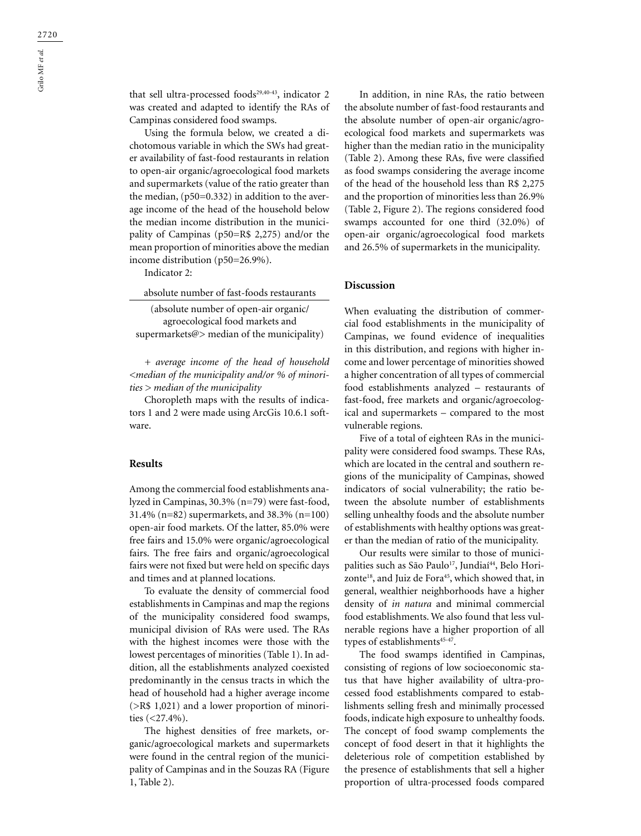that sell ultra-processed foods<sup>29,40-43</sup>, indicator 2 was created and adapted to identify the RAs of Campinas considered food swamps.

Using the formula below, we created a dichotomous variable in which the SWs had greater availability of fast-food restaurants in relation to open-air organic/agroecological food markets and supermarkets (value of the ratio greater than the median, (p50=0.332) in addition to the average income of the head of the household below the median income distribution in the municipality of Campinas (p50=R\$ 2,275) and/or the mean proportion of minorities above the median income distribution (p50=26.9%).

Indicator 2:

absolute number of fast-foods restaurants (absolute number of open-air organic/ agroecological food markets and supermarkets@> median of the municipality)

*+ average income of the head of household <median of the municipality and/or % of minorities > median of the municipality*

Choropleth maps with the results of indicators 1 and 2 were made using ArcGis 10.6.1 software.

#### **Results**

Among the commercial food establishments analyzed in Campinas, 30.3% (n=79) were fast-food, 31.4% (n=82) supermarkets, and 38.3% (n=100) open-air food markets. Of the latter, 85.0% were free fairs and 15.0% were organic/agroecological fairs. The free fairs and organic/agroecological fairs were not fixed but were held on specific days and times and at planned locations.

To evaluate the density of commercial food establishments in Campinas and map the regions of the municipality considered food swamps, municipal division of RAs were used. The RAs with the highest incomes were those with the lowest percentages of minorities (Table 1). In addition, all the establishments analyzed coexisted predominantly in the census tracts in which the head of household had a higher average income (>R\$ 1,021) and a lower proportion of minorities (<27.4%).

The highest densities of free markets, organic/agroecological markets and supermarkets were found in the central region of the municipality of Campinas and in the Souzas RA (Figure 1, Table 2).

In addition, in nine RAs, the ratio between the absolute number of fast-food restaurants and the absolute number of open-air organic/agroecological food markets and supermarkets was higher than the median ratio in the municipality (Table 2). Among these RAs, five were classified as food swamps considering the average income of the head of the household less than R\$ 2,275 and the proportion of minorities less than 26.9% (Table 2, Figure 2). The regions considered food swamps accounted for one third (32.0%) of open-air organic/agroecological food markets and 26.5% of supermarkets in the municipality.

### **Discussion**

When evaluating the distribution of commercial food establishments in the municipality of Campinas, we found evidence of inequalities in this distribution, and regions with higher income and lower percentage of minorities showed a higher concentration of all types of commercial food establishments analyzed – restaurants of fast-food, free markets and organic/agroecological and supermarkets – compared to the most vulnerable regions.

Five of a total of eighteen RAs in the municipality were considered food swamps. These RAs, which are located in the central and southern regions of the municipality of Campinas, showed indicators of social vulnerability; the ratio between the absolute number of establishments selling unhealthy foods and the absolute number of establishments with healthy options was greater than the median of ratio of the municipality.

Our results were similar to those of municipalities such as São Paulo<sup>17</sup>, Jundiaí<sup>44</sup>, Belo Horizonte<sup>18</sup>, and Juiz de Fora<sup>45</sup>, which showed that, in general, wealthier neighborhoods have a higher density of *in natura* and minimal commercial food establishments. We also found that less vulnerable regions have a higher proportion of all types of establishments<sup>45-47</sup>.

The food swamps identified in Campinas, consisting of regions of low socioeconomic status that have higher availability of ultra-processed food establishments compared to establishments selling fresh and minimally processed foods, indicate high exposure to unhealthy foods. The concept of food swamp complements the concept of food desert in that it highlights the deleterious role of competition established by the presence of establishments that sell a higher proportion of ultra-processed foods compared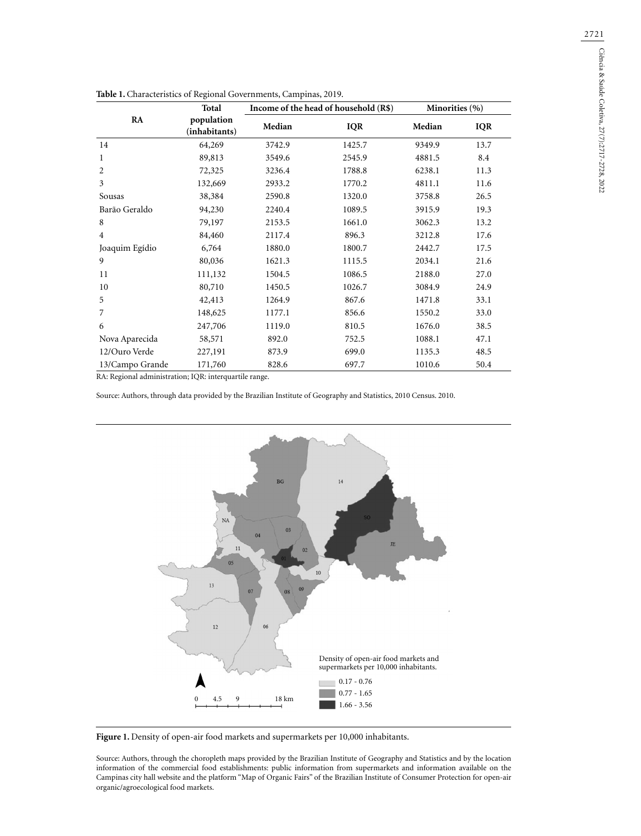|                 | Total<br>population<br>(inhabitants) | Income of the head of household (R\$) |            | Minorities (%) |            |
|-----------------|--------------------------------------|---------------------------------------|------------|----------------|------------|
| RA              |                                      | Median                                | <b>IQR</b> | Median         | <b>IQR</b> |
| 14              | 64,269                               | 3742.9                                | 1425.7     | 9349.9         | 13.7       |
| 1               | 89,813                               | 3549.6                                | 2545.9     | 4881.5         | 8.4        |
| 2               | 72,325                               | 3236.4                                | 1788.8     | 6238.1         | 11.3       |
| 3               | 132,669                              | 2933.2                                | 1770.2     | 4811.1         | 11.6       |
| Sousas          | 38,384                               | 2590.8                                | 1320.0     | 3758.8         | 26.5       |
| Barão Geraldo   | 94,230                               | 2240.4                                | 1089.5     | 3915.9         | 19.3       |
| 8               | 79,197                               | 2153.5                                | 1661.0     | 3062.3         | 13.2       |
| $\overline{4}$  | 84,460                               | 2117.4                                | 896.3      | 3212.8         | 17.6       |
| Joaquim Egídio  | 6,764                                | 1880.0                                | 1800.7     | 2442.7         | 17.5       |
| 9               | 80,036                               | 1621.3                                | 1115.5     | 2034.1         | 21.6       |
| 11              | 111,132                              | 1504.5                                | 1086.5     | 2188.0         | 27.0       |
| 10              | 80,710                               | 1450.5                                | 1026.7     | 3084.9         | 24.9       |
| 5               | 42,413                               | 1264.9                                | 867.6      | 1471.8         | 33.1       |
| 7               | 148,625                              | 1177.1                                | 856.6      | 1550.2         | 33.0       |
| 6               | 247,706                              | 1119.0                                | 810.5      | 1676.0         | 38.5       |
| Nova Aparecida  | 58,571                               | 892.0                                 | 752.5      | 1088.1         | 47.1       |
| 12/Ouro Verde   | 227,191                              | 873.9                                 | 699.0      | 1135.3         | 48.5       |
| 13/Campo Grande | 171,760                              | 828.6                                 | 697.7      | 1010.6         | 50.4       |

| Table 1. Characteristics of Regional Governments, Campinas, 2019. |  |  |
|-------------------------------------------------------------------|--|--|
|                                                                   |  |  |

RA: Regional administration; IQR: interquartile range.

Source: Authors, through data provided by the Brazilian Institute of Geography and Statistics, 2010 Census. 2010.



Figure 1. Density of open-air food markets and supermarkets per 10,000 inhabitants.

Source: Authors, through the choropleth maps provided by the Brazilian Institute of Geography and Statistics and by the location information of the commercial food establishments: public information from supermarkets and information available on the Campinas city hall website and the platform "Map of Organic Fairs" of the Brazilian Institute of Consumer Protection for open-air organic/agroecological food markets.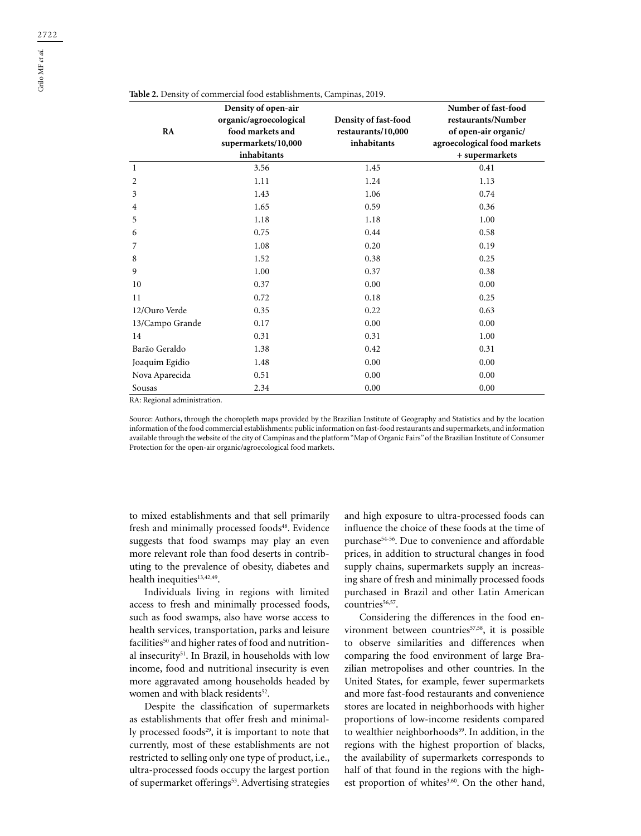| RA              | Density of open-air<br>organic/agroecological<br>food markets and<br>supermarkets/10,000<br>inhabitants | Density of fast-food<br>restaurants/10,000<br>inhabitants | Number of fast-food<br>restaurants/Number<br>of open-air organic/<br>agroecological food markets<br>+ supermarkets |
|-----------------|---------------------------------------------------------------------------------------------------------|-----------------------------------------------------------|--------------------------------------------------------------------------------------------------------------------|
| 1               | 3.56                                                                                                    | 1.45                                                      | 0.41                                                                                                               |
| 2               | 1.11                                                                                                    | 1.24                                                      | 1.13                                                                                                               |
| 3               | 1.43                                                                                                    | 1.06                                                      | 0.74                                                                                                               |
| 4               | 1.65                                                                                                    | 0.59                                                      | 0.36                                                                                                               |
| 5               | 1.18                                                                                                    | 1.18                                                      | 1.00                                                                                                               |
| 6               | 0.75                                                                                                    | 0.44                                                      | 0.58                                                                                                               |
| 7               | 1.08                                                                                                    | 0.20                                                      | 0.19                                                                                                               |
| 8               | 1.52                                                                                                    | 0.38                                                      | 0.25                                                                                                               |
| 9               | 1.00                                                                                                    | 0.37                                                      | 0.38                                                                                                               |
| 10              | 0.37                                                                                                    | 0.00                                                      | 0.00                                                                                                               |
| 11              | 0.72                                                                                                    | 0.18                                                      | 0.25                                                                                                               |
| 12/Ouro Verde   | 0.35                                                                                                    | 0.22                                                      | 0.63                                                                                                               |
| 13/Campo Grande | 0.17                                                                                                    | 0.00                                                      | 0.00                                                                                                               |
| 14              | 0.31                                                                                                    | 0.31                                                      | 1.00                                                                                                               |
| Barão Geraldo   | 1.38                                                                                                    | 0.42                                                      | 0.31                                                                                                               |
| Joaquim Egídio  | 1.48                                                                                                    | 0.00                                                      | 0.00                                                                                                               |
| Nova Aparecida  | 0.51                                                                                                    | 0.00                                                      | 0.00                                                                                                               |
| Sousas          | 2.34                                                                                                    | 0.00                                                      | 0.00                                                                                                               |

**Table 2.** Density of commercial food establishments, Campinas, 2019.

RA: Regional administration.

Source: Authors, through the choropleth maps provided by the Brazilian Institute of Geography and Statistics and by the location information of the food commercial establishments: public information on fast-food restaurants and supermarkets, and information available through the website of the city of Campinas and the platform "Map of Organic Fairs" of the Brazilian Institute of Consumer Protection for the open-air organic/agroecological food markets.

to mixed establishments and that sell primarily fresh and minimally processed foods<sup>48</sup>. Evidence suggests that food swamps may play an even more relevant role than food deserts in contributing to the prevalence of obesity, diabetes and health inequities<sup>13,42,49</sup>.

Individuals living in regions with limited access to fresh and minimally processed foods, such as food swamps, also have worse access to health services, transportation, parks and leisure facilities<sup>50</sup> and higher rates of food and nutritional insecurity<sup>51</sup>. In Brazil, in households with low income, food and nutritional insecurity is even more aggravated among households headed by women and with black residents<sup>52</sup>.

Despite the classification of supermarkets as establishments that offer fresh and minimally processed foods $29$ , it is important to note that currently, most of these establishments are not restricted to selling only one type of product, i.e., ultra-processed foods occupy the largest portion of supermarket offerings<sup>53</sup>. Advertising strategies

and high exposure to ultra-processed foods can influence the choice of these foods at the time of purchase54-56. Due to convenience and affordable prices, in addition to structural changes in food supply chains, supermarkets supply an increasing share of fresh and minimally processed foods purchased in Brazil and other Latin American countries<sup>56,57</sup>.

Considering the differences in the food environment between countries<sup>57,58</sup>, it is possible to observe similarities and differences when comparing the food environment of large Brazilian metropolises and other countries. In the United States, for example, fewer supermarkets and more fast-food restaurants and convenience stores are located in neighborhoods with higher proportions of low-income residents compared to wealthier neighborhoods<sup>59</sup>. In addition, in the regions with the highest proportion of blacks, the availability of supermarkets corresponds to half of that found in the regions with the highest proportion of whites<sup>3,60</sup>. On the other hand,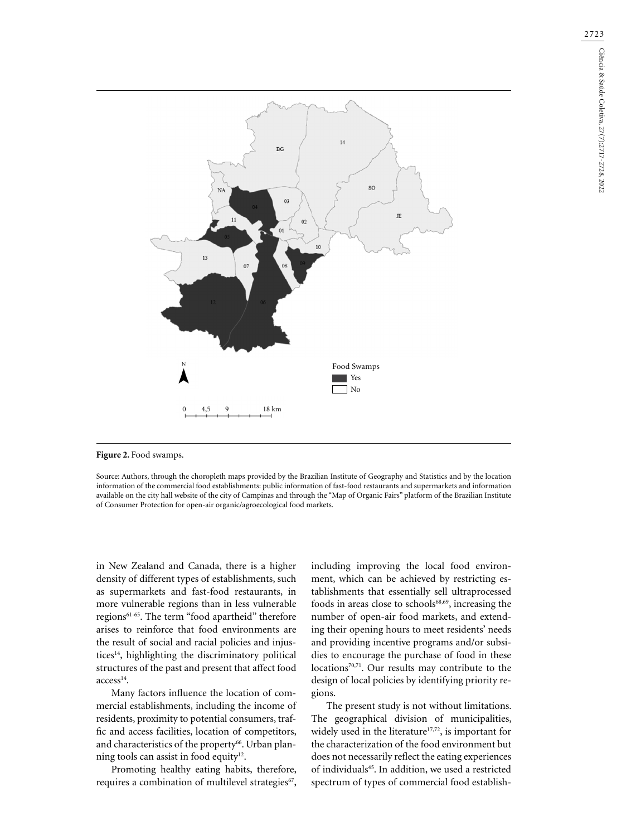

Figure 2. Food swamps.

Source: Authors, through the choropleth maps provided by the Brazilian Institute of Geography and Statistics and by the location information of the commercial food establishments: public information of fast-food restaurants and supermarkets and information available on the city hall website of the city of Campinas and through the "Map of Organic Fairs" platform of the Brazilian Institute of Consumer Protection for open-air organic/agroecological food markets.

in New Zealand and Canada, there is a higher density of different types of establishments, such as supermarkets and fast-food restaurants, in more vulnerable regions than in less vulnerable regions<sup>61-65</sup>. The term "food apartheid" therefore arises to reinforce that food environments are the result of social and racial policies and injustices<sup>14</sup>, highlighting the discriminatory political structures of the past and present that affect food access<sup>14</sup>.

Many factors influence the location of commercial establishments, including the income of residents, proximity to potential consumers, traffic and access facilities, location of competitors, and characteristics of the property<sup>66</sup>. Urban planning tools can assist in food equity<sup>12</sup>.

Promoting healthy eating habits, therefore, requires a combination of multilevel strategies<sup>67</sup>,

including improving the local food environment, which can be achieved by restricting establishments that essentially sell ultraprocessed foods in areas close to schools<sup>68,69</sup>, increasing the number of open-air food markets, and extending their opening hours to meet residents' needs and providing incentive programs and/or subsidies to encourage the purchase of food in these locations<sup>70,71</sup>. Our results may contribute to the design of local policies by identifying priority regions.

The present study is not without limitations. The geographical division of municipalities, widely used in the literature $17,72$ , is important for the characterization of the food environment but does not necessarily reflect the eating experiences of individuals<sup>45</sup>. In addition, we used a restricted spectrum of types of commercial food establish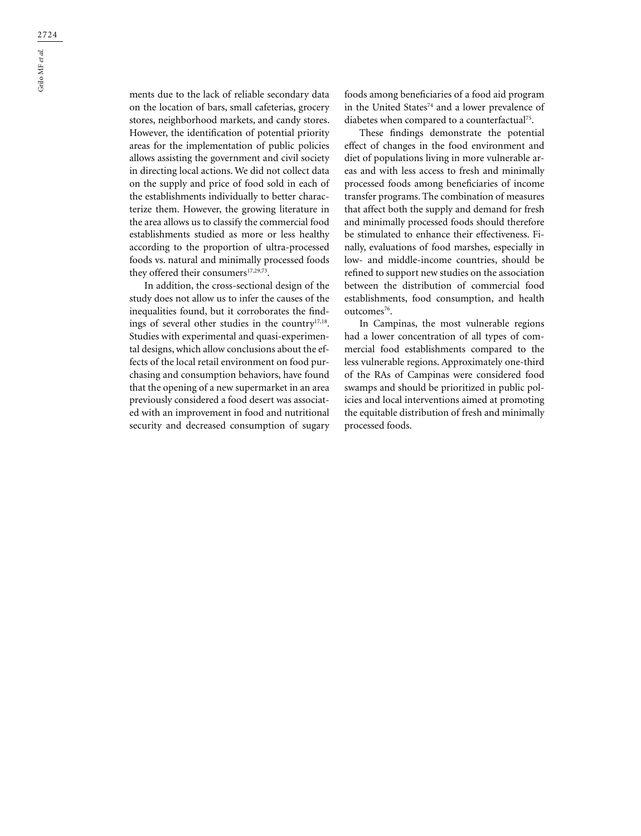ments due to the lack of reliable secondary data on the location of bars, small cafeterias, grocery stores, neighborhood markets, and candy stores. However, the identification of potential priority areas for the implementation of public policies allows assisting the government and civil society in directing local actions. We did not collect data on the supply and price of food sold in each of the establishments individually to better characterize them. However, the growing literature in the area allows us to classify the commercial food establishments studied as more or less healthy according to the proportion of ultra-processed foods vs. natural and minimally processed foods they offered their consumers<sup>17,29,73</sup>.

In addition, the cross-sectional design of the study does not allow us to infer the causes of the inequalities found, but it corroborates the findings of several other studies in the country17,18. Studies with experimental and quasi-experimental designs, which allow conclusions about the effects of the local retail environment on food purchasing and consumption behaviors, have found that the opening of a new supermarket in an area previously considered a food desert was associated with an improvement in food and nutritional security and decreased consumption of sugary

foods among beneficiaries of a food aid program in the United States<sup>74</sup> and a lower prevalence of diabetes when compared to a counterfactual<sup>75</sup>.

These findings demonstrate the potential effect of changes in the food environment and diet of populations living in more vulnerable areas and with less access to fresh and minimally processed foods among beneficiaries of income transfer programs. The combination of measures that affect both the supply and demand for fresh and minimally processed foods should therefore be stimulated to enhance their effectiveness. Finally, evaluations of food marshes, especially in low- and middle-income countries, should be refined to support new studies on the association between the distribution of commercial food establishments, food consumption, and health outcomes<sup>76</sup>.

In Campinas, the most vulnerable regions had a lower concentration of all types of commercial food establishments compared to the less vulnerable regions. Approximately one-third of the RAs of Campinas were considered food swamps and should be prioritized in public policies and local interventions aimed at promoting the equitable distribution of fresh and minimally processed foods.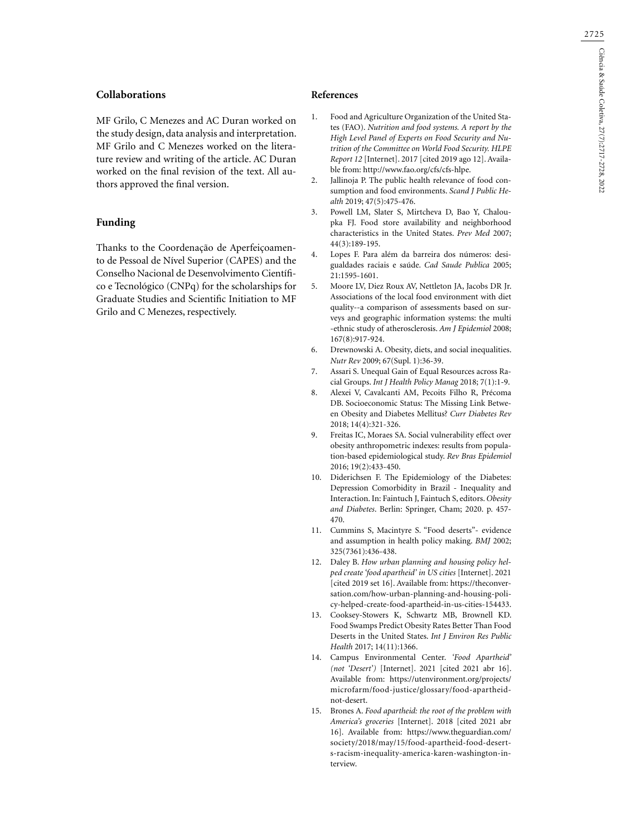# **Collaborations**

MF Grilo, C Menezes and AC Duran worked on the study design, data analysis and interpretation. MF Grilo and C Menezes worked on the literature review and writing of the article. AC Duran worked on the final revision of the text. All authors approved the final version.

# **Funding**

Thanks to the Coordenação de Aperfeiçoamento de Pessoal de Nível Superior (CAPES) and the Conselho Nacional de Desenvolvimento Científico e Tecnológico (CNPq) for the scholarships for Graduate Studies and Scientific Initiation to MF Grilo and C Menezes, respectively.

### **References**

- 1. Food and Agriculture Organization of the United States (FAO). *Nutrition and food systems. A report by the High Level Panel of Experts on Food Security and Nutrition of the Committee on World Food Security. HLPE Report 12* [Internet]. 2017 [cited 2019 ago 12]. Available from: http://www.fao.org/cfs/cfs-hlpe.
- 2. Jallinoja P. The public health relevance of food consumption and food environments. *Scand J Public Health* 2019; 47(5):475-476.
- 3. Powell LM, Slater S, Mirtcheva D, Bao Y, Chaloupka FJ. Food store availability and neighborhood characteristics in the United States. *Prev Med* 2007; 44(3):189-195.
- 4. Lopes F. Para além da barreira dos números: desigualdades raciais e saúde. *Cad Saude Publica* 2005; 21:1595-1601.
- 5. Moore LV, Diez Roux AV, Nettleton JA, Jacobs DR Jr. Associations of the local food environment with diet quality--a comparison of assessments based on surveys and geographic information systems: the multi -ethnic study of atherosclerosis. *Am J Epidemiol* 2008; 167(8):917-924.
- 6. Drewnowski A. Obesity, diets, and social inequalities. *Nutr Rev* 2009; 67(Supl. 1):36-39.
- 7. Assari S. Unequal Gain of Equal Resources across Racial Groups. *Int J Health Policy Manag* 2018; 7(1):1-9.
- 8. Alexei V, Cavalcanti AM, Pecoits Filho R, Précoma DB. Socioeconomic Status: The Missing Link Between Obesity and Diabetes Mellitus? *Curr Diabetes Rev*  2018; 14(4):321-326.
- 9. Freitas IC, Moraes SA. Social vulnerability effect over obesity anthropometric indexes: results from population-based epidemiological study. *Rev Bras Epidemiol* 2016; 19(2):433-450.
- 10. Diderichsen F. The Epidemiology of the Diabetes: Depression Comorbidity in Brazil - Inequality and Interaction. In: Faintuch J, Faintuch S, editors. *Obesity and Diabetes*. Berlin: Springer, Cham; 2020. p. 457- 470.
- 11. Cummins S, Macintyre S. "Food deserts"- evidence and assumption in health policy making. *BMJ* 2002; 325(7361):436-438.
- 12. Daley B. *How urban planning and housing policy helped create 'food apartheid' in US cities* [Internet]. 2021 [cited 2019 set 16]. Available from: https://theconversation.com/how-urban-planning-and-housing-policy-helped-create-food-apartheid-in-us-cities-154433.
- 13. Cooksey-Stowers K, Schwartz MB, Brownell KD. Food Swamps Predict Obesity Rates Better Than Food Deserts in the United States. *Int J Environ Res Public Health* 2017; 14(11):1366.
- 14. Campus Environmental Center. *'Food Apartheid' (not 'Desert')* [Internet]. 2021 [cited 2021 abr 16]. Available from: https://utenvironment.org/projects/ microfarm/food-justice/glossary/food-apartheidnot-desert.
- 15. Brones A. *Food apartheid: the root of the problem with America's groceries* [Internet]. 2018 [cited 2021 abr 16]. Available from: https://www.theguardian.com/ society/2018/may/15/food-apartheid-food-deserts-racism-inequality-america-karen-washington-interview.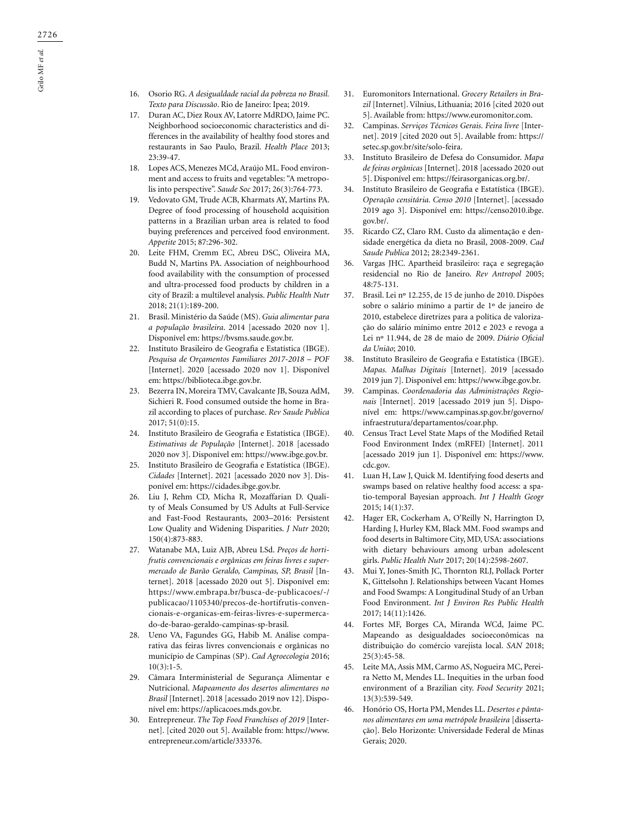- 16. Osorio RG. *A desigualdade racial da pobreza no Brasil. Texto para Discussão*. Rio de Janeiro: Ipea; 2019.
- 17. Duran AC, Diez Roux AV, Latorre MdRDO, Jaime PC. Neighborhood socioeconomic characteristics and differences in the availability of healthy food stores and restaurants in Sao Paulo, Brazil. *Health Place* 2013; 23:39-47.
- 18. Lopes ACS, Menezes MCd, Araújo ML. Food environment and access to fruits and vegetables: "A metropolis into perspective". *Saude Soc* 2017; 26(3):764-773.
- 19. Vedovato GM, Trude ACB, Kharmats AY, Martins PA. Degree of food processing of household acquisition patterns in a Brazilian urban area is related to food buying preferences and perceived food environment. *Appetite* 2015; 87:296-302.
- 20. Leite FHM, Cremm EC, Abreu DSC, Oliveira MA, Budd N, Martins PA. Association of neighbourhood food availability with the consumption of processed and ultra-processed food products by children in a city of Brazil: a multilevel analysis. *Public Health Nutr* 2018; 21(1):189-200.
- 21. Brasil. Ministério da Saúde (MS). *Guia alimentar para a população brasileira*. 2014 [acessado 2020 nov 1]. Disponível em: https://bvsms.saude.gov.br.
- 22. Instituto Brasileiro de Geografia e Estatística (IBGE). *Pesquisa de Orçamentos Familiares 2017-2018 – POF* [Internet]. 2020 [acessado 2020 nov 1]. Disponível em: https://biblioteca.ibge.gov.br.
- 23. Bezerra IN, Moreira TMV, Cavalcante JB, Souza AdM, Sichieri R. Food consumed outside the home in Brazil according to places of purchase. *Rev Saude Publica* 2017; 51(0):15.
- 24. Instituto Brasileiro de Geografia e Estatística (IBGE). *Estimativas de População* [Internet]. 2018 [acessado 2020 nov 3]. Disponível em: https://www.ibge.gov.br.
- 25. Instituto Brasileiro de Geografia e Estatística (IBGE). *Cidades* [Internet]. 2021 [acessado 2020 nov 3]. Disponível em: https://cidades.ibge.gov.br.
- 26. Liu J, Rehm CD, Micha R, Mozaffarian D. Quality of Meals Consumed by US Adults at Full-Service and Fast-Food Restaurants, 2003–2016: Persistent Low Quality and Widening Disparities. *J Nutr* 2020; 150(4):873-883.
- 27. Watanabe MA, Luiz AJB, Abreu LSd. *Preços de hortifrutis convencionais e orgânicas em feiras livres e supermercado de Barão Geraldo, Campinas, SP, Brasil* [Internet]. 2018 [acessado 2020 out 5]. Disponível em: https://www.embrapa.br/busca-de-publicacoes/-/ publicacao/1105340/precos-de-hortifrutis-convencionais-e-organicas-em-feiras-livres-e-supermercado-de-barao-geraldo-campinas-sp-brasil.
- 28. Ueno VA, Fagundes GG, Habib M. Análise comparativa das feiras livres convencionais e orgânicas no município de Campinas (SP). *Cad Agroecologia* 2016;  $10(3):1-5.$
- 29. Câmara Interministerial de Segurança Alimentar e Nutricional. *Mapeamento dos desertos alimentares no Brasil* [Internet]. 2018 [acessado 2019 nov 12]. Disponível em: https://aplicacoes.mds.gov.br.
- 30. Entrepreneur. *The Top Food Franchises of 2019* [Internet]. [cited 2020 out 5]. Available from: https://www. entrepreneur.com/article/333376.
- 31. Euromonitors International. *Grocery Retailers in Brazil* [Internet]. Vilnius, Lithuania; 2016 [cited 2020 out 5]. Available from: https://www.euromonitor.com.
- 32. Campinas. *Serviços Técnicos Gerais. Feira livre* [Internet]. 2019 [cited 2020 out 5]. Available from: https:// setec.sp.gov.br/site/solo-feira.
- 33. Instituto Brasileiro de Defesa do Consumidor. *Mapa de feiras orgânicas* [Internet]. 2018 [acessado 2020 out 5]. Disponível em: https://feirasorganicas.org.br/.
- 34. Instituto Brasileiro de Geografia e Estatística (IBGE). *Operação censitária. Censo 2010* [Internet]. [acessado 2019 ago 3]. Disponível em: https://censo2010.ibge. gov.br/.
- 35. Ricardo CZ, Claro RM. Custo da alimentação e densidade energética da dieta no Brasil, 2008-2009. *Cad Saude Publica* 2012; 28:2349-2361.
- 36. Vargas JHC. Apartheid brasileiro: raça e segregação residencial no Rio de Janeiro. *Rev Antropol* 2005; 48:75-131.
- 37. Brasil. Lei nº 12.255, de 15 de junho de 2010. Dispões sobre o salário mínimo a partir de 1º de janeiro de 2010, estabelece diretrizes para a política de valorização do salário mínimo entre 2012 e 2023 e revoga a Lei nº 11.944, de 28 de maio de 2009. *Diário Oficial da União*; 2010.
- 38. Instituto Brasileiro de Geografia e Estatística (IBGE). *Mapas. Malhas Digitais* [Internet]. 2019 [acessado 2019 jun 7]. Disponível em: https://www.ibge.gov.br.
- 39. Campinas. *Coordenadoria das Administrações Regionais* [Internet]. 2019 [acessado 2019 jun 5]. Disponível em: https://www.campinas.sp.gov.br/governo/ infraestrutura/departamentos/coar.php.
- 40. Census Tract Level State Maps of the Modified Retail Food Environment Index (mRFEI) [Internet]. 2011 [acessado 2019 jun 1]. Disponível em: https://www. cdc.gov.
- 41. Luan H, Law J, Quick M. Identifying food deserts and swamps based on relative healthy food access: a spatio-temporal Bayesian approach. *Int J Health Geogr*  2015; 14(1):37.
- 42. Hager ER, Cockerham A, O'Reilly N, Harrington D, Harding J, Hurley KM, Black MM. Food swamps and food deserts in Baltimore City, MD, USA: associations with dietary behaviours among urban adolescent girls. *Public Health Nutr* 2017; 20(14):2598-2607.
- 43. Mui Y, Jones-Smith JC, Thornton RLJ, Pollack Porter K, Gittelsohn J. Relationships between Vacant Homes and Food Swamps: A Longitudinal Study of an Urban Food Environment. *Int J Environ Res Public Health* 2017; 14(11):1426.
- 44. Fortes MF, Borges CA, Miranda WCd, Jaime PC. Mapeando as desigualdades socioeconômicas na distribuição do comércio varejista local. *SAN* 2018; 25(3):45-58.
- 45. Leite MA, Assis MM, Carmo AS, Nogueira MC, Pereira Netto M, Mendes LL. Inequities in the urban food environment of a Brazilian city. *Food Security* 2021; 13(3):539-549.
- 46. Honório OS, Horta PM, Mendes LL. *Desertos e pântanos alimentares em uma metrópole brasileira* [dissertação]. Belo Horizonte: Universidade Federal de Minas Gerais; 2020.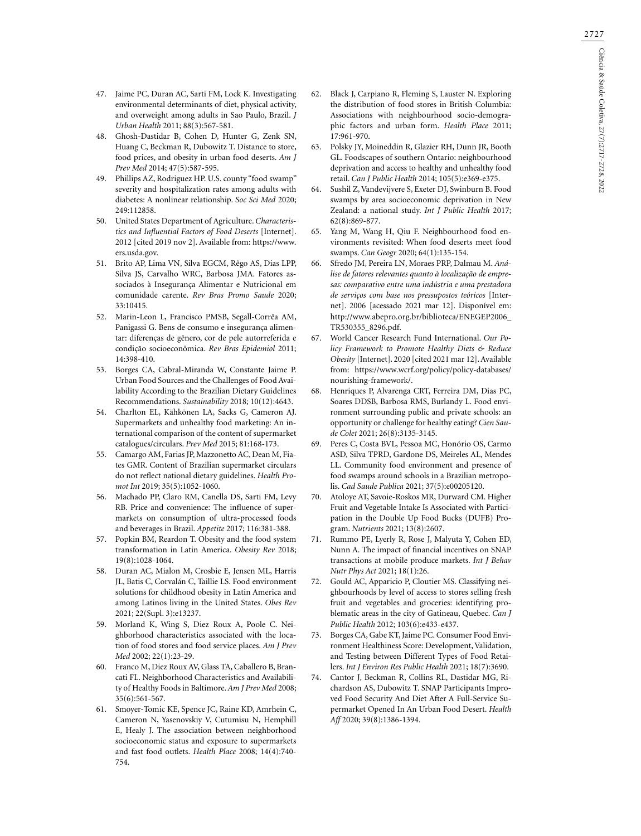- 47. Jaime PC, Duran AC, Sarti FM, Lock K. Investigating environmental determinants of diet, physical activity, and overweight among adults in Sao Paulo, Brazil. *J Urban Health* 2011; 88(3):567-581.
- 48. Ghosh-Dastidar B, Cohen D, Hunter G, Zenk SN, Huang C, Beckman R, Dubowitz T. Distance to store, food prices, and obesity in urban food deserts. *Am J Prev Med* 2014; 47(5):587-595.
- 49. Phillips AZ, Rodriguez HP. U.S. county "food swamp" severity and hospitalization rates among adults with diabetes: A nonlinear relationship. *Soc Sci Med* 2020; 249:112858.
- 50. United States Department of Agriculture. *Characteristics and Influential Factors of Food Deserts* [Internet]. 2012 [cited 2019 nov 2]. Available from: https://www. ers.usda.gov.
- 51. Brito AP, Lima VN, Silva EGCM, Rêgo AS, Dias LPP, Silva JS, Carvalho WRC, Barbosa JMA. Fatores associados à Insegurança Alimentar e Nutricional em comunidade carente. *Rev Bras Promo Saude* 2020; 33:10415.
- 52. Marin-Leon L, Francisco PMSB, Segall-Corrêa AM, Panigassi G. Bens de consumo e insegurança alimentar: diferenças de gênero, cor de pele autorreferida e condição socioeconômica. *Rev Bras Epidemiol* 2011; 14:398-410.
- 53. Borges CA, Cabral-Miranda W, Constante Jaime P. Urban Food Sources and the Challenges of Food Availability According to the Brazilian Dietary Guidelines Recommendations. *Sustainability* 2018; 10(12):4643.
- 54. Charlton EL, Kähkönen LA, Sacks G, Cameron AJ. Supermarkets and unhealthy food marketing: An international comparison of the content of supermarket catalogues/circulars. *Prev Med* 2015; 81:168-173.
- 55. Camargo AM, Farias JP, Mazzonetto AC, Dean M, Fiates GMR. Content of Brazilian supermarket circulars do not reflect national dietary guidelines. *Health Promot Int* 2019; 35(5):1052-1060.
- 56. Machado PP, Claro RM, Canella DS, Sarti FM, Levy RB. Price and convenience: The influence of supermarkets on consumption of ultra-processed foods and beverages in Brazil. *Appetite* 2017; 116:381-388.
- 57. Popkin BM, Reardon T. Obesity and the food system transformation in Latin America. *Obesity Rev* 2018; 19(8):1028-1064.
- 58. Duran AC, Mialon M, Crosbie E, Jensen ML, Harris JL, Batis C, Corvalán C, Taillie LS. Food environment solutions for childhood obesity in Latin America and among Latinos living in the United States. *Obes Rev* 2021; 22(Supl. 3):e13237.
- 59. Morland K, Wing S, Diez Roux A, Poole C. Neighborhood characteristics associated with the location of food stores and food service places. *Am J Prev Med* 2002; 22(1):23-29.
- 60. Franco M, Diez Roux AV, Glass TA, Caballero B, Brancati FL. Neighborhood Characteristics and Availability of Healthy Foods in Baltimore. *Am J Prev Med* 2008; 35(6):561-567.
- 61. Smoyer-Tomic KE, Spence JC, Raine KD, Amrhein C, Cameron N, Yasenovskiy V, Cutumisu N, Hemphill E, Healy J. The association between neighborhood socioeconomic status and exposure to supermarkets and fast food outlets. *Health Place* 2008; 14(4):740- 754.
- 62. Black J, Carpiano R, Fleming S, Lauster N. Exploring the distribution of food stores in British Columbia: Associations with neighbourhood socio-demographic factors and urban form. *Health Place* 2011; 17:961-970.
- 63. Polsky JY, Moineddin R, Glazier RH, Dunn JR, Booth GL. Foodscapes of southern Ontario: neighbourhood deprivation and access to healthy and unhealthy food retail. *Can J Public Health* 2014; 105(5):e369-e375.
- 64. Sushil Z, Vandevijvere S, Exeter DJ, Swinburn B. Food swamps by area socioeconomic deprivation in New Zealand: a national study. *Int J Public Health* 2017; 62(8):869-877.
- 65. Yang M, Wang H, Qiu F. Neighbourhood food environments revisited: When food deserts meet food swamps. *Can Geogr* 2020; 64(1):135-154.
- 66. Sfredo JM, Pereira LN, Moraes PRP, Dalmau M. *Análise de fatores relevantes quanto à localização de empresas: comparativo entre uma indústria e uma prestadora de serviços com base nos pressupostos teóricos* [Internet]. 2006 [acessado 2021 mar 12]. Disponível em: http://www.abepro.org.br/biblioteca/ENEGEP2006\_ TR530355\_8296.pdf.
- 67. World Cancer Research Fund International. *Our Policy Framework to Promote Healthy Diets & Reduce Obesity* [Internet]. 2020 [cited 2021 mar 12]. Available from: https://www.wcrf.org/policy/policy-databases/ nourishing-framework/.
- 68. Henriques P, Alvarenga CRT, Ferreira DM, Dias PC, Soares DDSB, Barbosa RMS, Burlandy L. Food environment surrounding public and private schools: an opportunity or challenge for healthy eating? *Cien Saude Colet* 2021; 26(8):3135-3145.
- 69. Peres C, Costa BVL, Pessoa MC, Honório OS, Carmo ASD, Silva TPRD, Gardone DS, Meireles AL, Mendes LL. Community food environment and presence of food swamps around schools in a Brazilian metropolis. *Cad Saude Publica* 2021; 37(5):e00205120.
- 70. Atoloye AT, Savoie-Roskos MR, Durward CM. Higher Fruit and Vegetable Intake Is Associated with Participation in the Double Up Food Bucks (DUFB) Program. *Nutrients* 2021; 13(8):2607.
- 71. Rummo PE, Lyerly R, Rose J, Malyuta Y, Cohen ED, Nunn A. The impact of financial incentives on SNAP transactions at mobile produce markets. *Int J Behav Nutr Phys Act* 2021; 18(1):26.
- 72. Gould AC, Apparicio P, Cloutier MS. Classifying neighbourhoods by level of access to stores selling fresh fruit and vegetables and groceries: identifying problematic areas in the city of Gatineau, Quebec. *Can J Public Health* 2012; 103(6):e433-e437.
- 73. Borges CA, Gabe KT, Jaime PC. Consumer Food Environment Healthiness Score: Development, Validation, and Testing between Different Types of Food Retailers. *Int J Environ Res Public Health* 2021; 18(7):3690.
- 74. Cantor J, Beckman R, Collins RL, Dastidar MG, Richardson AS, Dubowitz T. SNAP Participants Improved Food Security And Diet After A Full-Service Supermarket Opened In An Urban Food Desert. *Health Aff* 2020; 39(8):1386-1394.